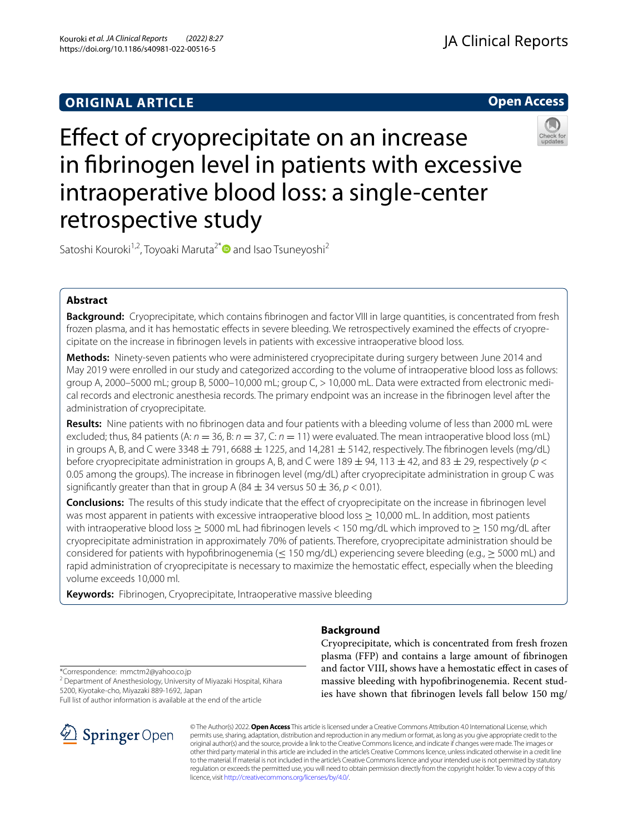# **ORIGINAL ARTICLE**





# Efect of cryoprecipitate on an increase in fbrinogen level in patients with excessive intraoperative blood loss: a single-center retrospective study

Satoshi Kouroki<sup>1,2</sup>, Toyoaki Maruta<sup>2[\\*](http://orcid.org/0000-0002-2660-2179)</sup> and Isao Tsuneyoshi<sup>2</sup>

# **Abstract**

**Background:** Cryoprecipitate, which contains fbrinogen and factor VIII in large quantities, is concentrated from fresh frozen plasma, and it has hemostatic efects in severe bleeding. We retrospectively examined the efects of cryoprecipitate on the increase in fbrinogen levels in patients with excessive intraoperative blood loss.

**Methods:** Ninety-seven patients who were administered cryoprecipitate during surgery between June 2014 and May 2019 were enrolled in our study and categorized according to the volume of intraoperative blood loss as follows: group A, 2000–5000 mL; group B, 5000–10,000 mL; group C, > 10,000 mL. Data were extracted from electronic medical records and electronic anesthesia records. The primary endpoint was an increase in the fbrinogen level after the administration of cryoprecipitate.

**Results:** Nine patients with no fbrinogen data and four patients with a bleeding volume of less than 2000 mL were excluded; thus, 84 patients (A:  $n = 36$ , B:  $n = 37$ , C:  $n = 11$ ) were evaluated. The mean intraoperative blood loss (mL) in groups A, B, and C were 3348  $\pm$  791, 6688  $\pm$  1225, and 14,281  $\pm$  5142, respectively. The fibrinogen levels (mg/dL) before cryoprecipitate administration in groups A, B, and C were 189 ± 94, 113 ± 42, and 83 ± 29, respectively (*p* < 0.05 among the groups). The increase in fbrinogen level (mg/dL) after cryoprecipitate administration in group C was significantly greater than that in group A (84  $\pm$  34 versus 50  $\pm$  36,  $p$  < 0.01).

**Conclusions:** The results of this study indicate that the efect of cryoprecipitate on the increase in fbrinogen level was most apparent in patients with excessive intraoperative blood loss ≥ 10,000 mL. In addition, most patients with intraoperative blood loss ≥ 5000 mL had fibrinogen levels < 150 mg/dL which improved to ≥ 150 mg/dL after cryoprecipitate administration in approximately 70% of patients. Therefore, cryoprecipitate administration should be considered for patients with hypofibrinogenemia ( $\leq$  150 mg/dL) experiencing severe bleeding (e.g.,  $\geq$  5000 mL) and rapid administration of cryoprecipitate is necessary to maximize the hemostatic efect, especially when the bleeding volume exceeds 10,000 ml.

**Keywords:** Fibrinogen, Cryoprecipitate, Intraoperative massive bleeding

# **Background**

Cryoprecipitate, which is concentrated from fresh frozen plasma (FFP) and contains a large amount of fbrinogen and factor VIII, shows have a hemostatic efect in cases of massive bleeding with hypofbrinogenemia. Recent studies have shown that fbrinogen levels fall below 150 mg/

\*Correspondence: mmctm2@yahoo.co.jp

<sup>2</sup> Department of Anesthesiology, University of Miyazaki Hospital, Kihara 5200, Kiyotake-cho, Miyazaki 889-1692, Japan

Full list of author information is available at the end of the article



© The Author(s) 2022. **Open Access** This article is licensed under a Creative Commons Attribution 4.0 International License, which permits use, sharing, adaptation, distribution and reproduction in any medium or format, as long as you give appropriate credit to the original author(s) and the source, provide a link to the Creative Commons licence, and indicate if changes were made. The images or other third party material in this article are included in the article's Creative Commons licence, unless indicated otherwise in a credit line to the material. If material is not included in the article's Creative Commons licence and your intended use is not permitted by statutory regulation or exceeds the permitted use, you will need to obtain permission directly from the copyright holder. To view a copy of this licence, visit [http://creativecommons.org/licenses/by/4.0/.](http://creativecommons.org/licenses/by/4.0/)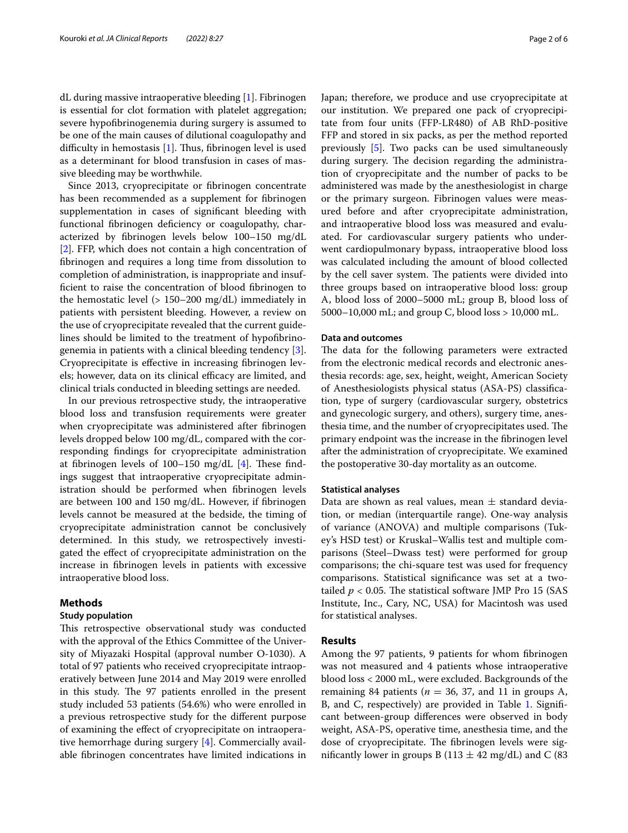dL during massive intraoperative bleeding [\[1](#page-5-0)]. Fibrinogen is essential for clot formation with platelet aggregation; severe hypofbrinogenemia during surgery is assumed to be one of the main causes of dilutional coagulopathy and difficulty in hemostasis  $[1]$  $[1]$  $[1]$ . Thus, fibrinogen level is used as a determinant for blood transfusion in cases of massive bleeding may be worthwhile.

Since 2013, cryoprecipitate or fbrinogen concentrate has been recommended as a supplement for fbrinogen supplementation in cases of signifcant bleeding with functional fbrinogen defciency or coagulopathy, characterized by fbrinogen levels below 100–150 mg/dL [[2\]](#page-5-1). FFP, which does not contain a high concentration of fbrinogen and requires a long time from dissolution to completion of administration, is inappropriate and insuffcient to raise the concentration of blood fbrinogen to the hemostatic level (> 150–200 mg/dL) immediately in patients with persistent bleeding. However, a review on the use of cryoprecipitate revealed that the current guidelines should be limited to the treatment of hypofbrinogenemia in patients with a clinical bleeding tendency [\[3](#page-5-2)]. Cryoprecipitate is efective in increasing fbrinogen levels; however, data on its clinical efficacy are limited, and clinical trials conducted in bleeding settings are needed.

In our previous retrospective study, the intraoperative blood loss and transfusion requirements were greater when cryoprecipitate was administered after fbrinogen levels dropped below 100 mg/dL, compared with the corresponding fndings for cryoprecipitate administration at fibrinogen levels of  $100-150$  mg/dL  $[4]$  $[4]$ . These findings suggest that intraoperative cryoprecipitate administration should be performed when fbrinogen levels are between 100 and 150 mg/dL. However, if fbrinogen levels cannot be measured at the bedside, the timing of cryoprecipitate administration cannot be conclusively determined. In this study, we retrospectively investigated the efect of cryoprecipitate administration on the increase in fbrinogen levels in patients with excessive intraoperative blood loss.

# **Methods**

# **Study population**

This retrospective observational study was conducted with the approval of the Ethics Committee of the University of Miyazaki Hospital (approval number O-1030). A total of 97 patients who received cryoprecipitate intraoperatively between June 2014 and May 2019 were enrolled in this study. The 97 patients enrolled in the present study included 53 patients (54.6%) who were enrolled in a previous retrospective study for the diferent purpose of examining the efect of cryoprecipitate on intraoperative hemorrhage during surgery [\[4](#page-5-3)]. Commercially available fbrinogen concentrates have limited indications in Japan; therefore, we produce and use cryoprecipitate at our institution. We prepared one pack of cryoprecipitate from four units (FFP-LR480) of AB RhD-positive FFP and stored in six packs, as per the method reported previously [[5\]](#page-5-4). Two packs can be used simultaneously during surgery. The decision regarding the administration of cryoprecipitate and the number of packs to be administered was made by the anesthesiologist in charge or the primary surgeon. Fibrinogen values were measured before and after cryoprecipitate administration, and intraoperative blood loss was measured and evaluated. For cardiovascular surgery patients who underwent cardiopulmonary bypass, intraoperative blood loss was calculated including the amount of blood collected by the cell saver system. The patients were divided into three groups based on intraoperative blood loss: group A, blood loss of 2000–5000 mL; group B, blood loss of 5000–10,000 mL; and group C, blood loss > 10,000 mL.

## **Data and outcomes**

The data for the following parameters were extracted from the electronic medical records and electronic anesthesia records: age, sex, height, weight, American Society of Anesthesiologists physical status (ASA-PS) classifcation, type of surgery (cardiovascular surgery, obstetrics and gynecologic surgery, and others), surgery time, anesthesia time, and the number of cryoprecipitates used. The primary endpoint was the increase in the fbrinogen level after the administration of cryoprecipitate. We examined the postoperative 30-day mortality as an outcome.

## **Statistical analyses**

Data are shown as real values, mean  $\pm$  standard deviation, or median (interquartile range). One-way analysis of variance (ANOVA) and multiple comparisons (Tukey's HSD test) or Kruskal–Wallis test and multiple comparisons (Steel–Dwass test) were performed for group comparisons; the chi-square test was used for frequency comparisons. Statistical signifcance was set at a twotailed  $p < 0.05$ . The statistical software JMP Pro 15 (SAS) Institute, Inc., Cary, NC, USA) for Macintosh was used for statistical analyses.

## **Results**

Among the 97 patients, 9 patients for whom fbrinogen was not measured and 4 patients whose intraoperative blood loss < 2000 mL, were excluded. Backgrounds of the remaining 84 patients ( $n = 36$ , 37, and 11 in groups A, B, and C, respectively) are provided in Table [1](#page-2-0). Significant between-group diferences were observed in body weight, ASA-PS, operative time, anesthesia time, and the dose of cryoprecipitate. The fibrinogen levels were significantly lower in groups B (113  $\pm$  42 mg/dL) and C (83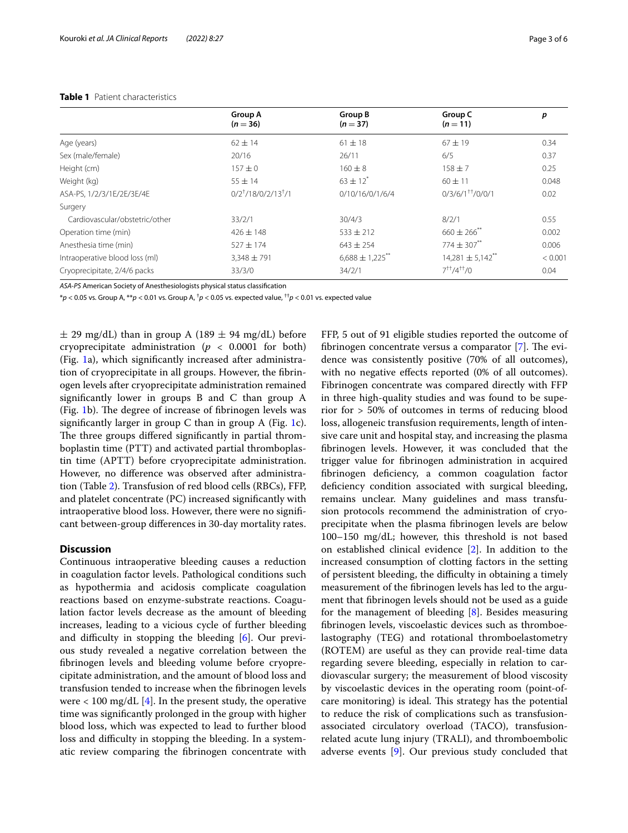## <span id="page-2-0"></span>**Table 1** Patient characteristics

|                                | <b>Group A</b><br>$(n = 36)$ | <b>Group B</b><br>$(n=37)$ | Group C<br>$(n=11)$  | p       |
|--------------------------------|------------------------------|----------------------------|----------------------|---------|
| Age (years)                    | $62 \pm 14$                  | $61 \pm 18$                | $67 \pm 19$          | 0.34    |
| Sex (male/female)              | 20/16                        | 26/11                      | 6/5                  | 0.37    |
| Height (cm)                    | $157 + 0$                    | $160 + 8$                  | $158 \pm 7$          | 0.25    |
| Weight (kg)                    | $55 + 14$                    | $63 + 12^{*}$              | $60 + 11$            | 0.048   |
| ASA-PS, 1/2/3/1E/2E/3E/4E      | $0/2^+/18/0/2/13^+/1$        | 0/10/16/0/1/6/4            | $0/3/6/1^{++}/0/0/1$ | 0.02    |
| Surgery                        |                              |                            |                      |         |
| Cardiovascular/obstetric/other | 33/2/1                       | 30/4/3                     | 8/2/1                | 0.55    |
| Operation time (min)           | $426 \pm 148$                | $533 \pm 212$              | $660 \pm 266$ **     | 0.002   |
| Anesthesia time (min)          | $527 + 174$                  | $643 \pm 254$              | $774 + 307$          | 0.006   |
| Intraoperative blood loss (ml) | $3.348 \pm 791$              | $6,688 \pm 1,225$          | $14,281 \pm 5,142$   | < 0.001 |
| Cryoprecipitate, 2/4/6 packs   | 33/3/0                       | 34/2/1                     | $7^{++}/4^{++}/0$    | 0.04    |

*ASA-PS* American Society of Anesthesiologists physical status classifcation

\**p* < 0.05 vs. Group A, \*\**p* < 0.01 vs. Group A, † *p* < 0.05 vs. expected value, ††*p* < 0.01 vs. expected value

 $\pm$  29 mg/dL) than in group A (189  $\pm$  94 mg/dL) before cryoprecipitate administration ( $p < 0.0001$  for both) (Fig. [1](#page-3-0)a), which signifcantly increased after administration of cryoprecipitate in all groups. However, the fbrinogen levels after cryoprecipitate administration remained signifcantly lower in groups B and C than group A (Fig.  $1b$ ). The degree of increase of fibrinogen levels was significantly larger in group C than in group A (Fig. [1c](#page-3-0)). The three groups differed significantly in partial thromboplastin time (PTT) and activated partial thromboplastin time (APTT) before cryoprecipitate administration. However, no diference was observed after administration (Table [2](#page-4-0)). Transfusion of red blood cells (RBCs), FFP, and platelet concentrate (PC) increased signifcantly with intraoperative blood loss. However, there were no signifcant between-group diferences in 30-day mortality rates.

# **Discussion**

Continuous intraoperative bleeding causes a reduction in coagulation factor levels. Pathological conditions such as hypothermia and acidosis complicate coagulation reactions based on enzyme-substrate reactions. Coagulation factor levels decrease as the amount of bleeding increases, leading to a vicious cycle of further bleeding and difficulty in stopping the bleeding  $[6]$  $[6]$ . Our previous study revealed a negative correlation between the fbrinogen levels and bleeding volume before cryoprecipitate administration, and the amount of blood loss and transfusion tended to increase when the fbrinogen levels were  $< 100 \text{ mg/dL}$  [\[4](#page-5-3)]. In the present study, the operative time was signifcantly prolonged in the group with higher blood loss, which was expected to lead to further blood loss and difficulty in stopping the bleeding. In a systematic review comparing the fbrinogen concentrate with FFP, 5 out of 91 eligible studies reported the outcome of fibrinogen concentrate versus a comparator  $[7]$  $[7]$ . The evidence was consistently positive (70% of all outcomes), with no negative efects reported (0% of all outcomes). Fibrinogen concentrate was compared directly with FFP in three high-quality studies and was found to be superior for > 50% of outcomes in terms of reducing blood loss, allogeneic transfusion requirements, length of intensive care unit and hospital stay, and increasing the plasma fbrinogen levels. However, it was concluded that the trigger value for fbrinogen administration in acquired fbrinogen defciency, a common coagulation factor deficiency condition associated with surgical bleeding, remains unclear. Many guidelines and mass transfusion protocols recommend the administration of cryoprecipitate when the plasma fbrinogen levels are below 100–150 mg/dL; however, this threshold is not based on established clinical evidence [[2](#page-5-1)]. In addition to the increased consumption of clotting factors in the setting of persistent bleeding, the difficulty in obtaining a timely measurement of the fbrinogen levels has led to the argument that fbrinogen levels should not be used as a guide for the management of bleeding [\[8](#page-5-7)]. Besides measuring fbrinogen levels, viscoelastic devices such as thromboelastography (TEG) and rotational thromboelastometry (ROTEM) are useful as they can provide real-time data regarding severe bleeding, especially in relation to cardiovascular surgery; the measurement of blood viscosity by viscoelastic devices in the operating room (point-ofcare monitoring) is ideal. This strategy has the potential to reduce the risk of complications such as transfusionassociated circulatory overload (TACO), transfusionrelated acute lung injury (TRALI), and thromboembolic adverse events [[9\]](#page-5-8). Our previous study concluded that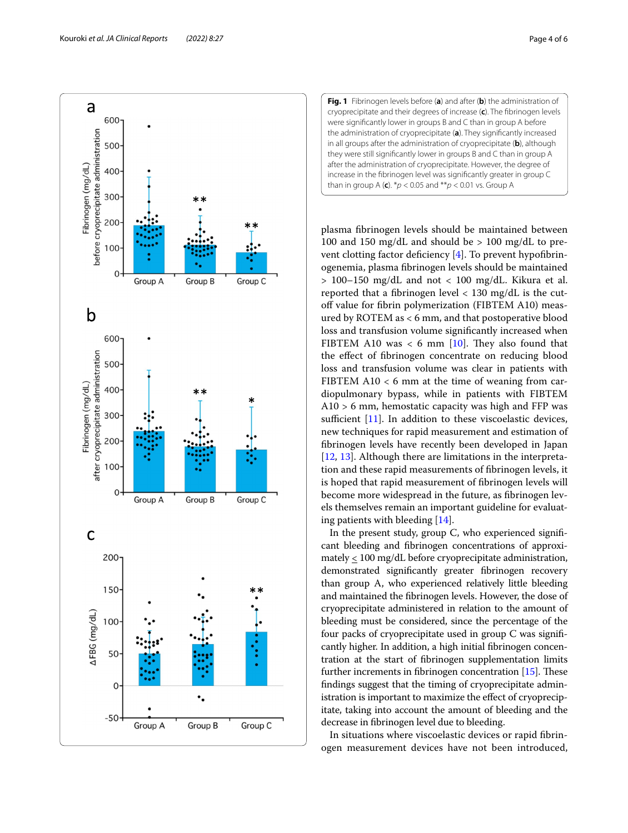

<span id="page-3-0"></span>**Fig. 1** Fibrinogen levels before (**a**) and after (**b**) the administration of cryoprecipitate and their degrees of increase (**c**). The fbrinogen levels were signifcantly lower in groups B and C than in group A before the administration of cryoprecipitate (**a**). They signifcantly increased in all groups after the administration of cryoprecipitate (**b**), although they were still signifcantly lower in groups B and C than in group A after the administration of cryoprecipitate. However, the degree of increase in the fbrinogen level was signifcantly greater in group C than in group A (**c**). \**p* < 0.05 and \*\**p* < 0.01 vs. Group A

plasma fbrinogen levels should be maintained between 100 and 150 mg/dL and should be > 100 mg/dL to prevent clotting factor deficiency  $[4]$  $[4]$ . To prevent hypofibrinogenemia, plasma fbrinogen levels should be maintained > 100–150 mg/dL and not < 100 mg/dL. Kikura et al. reported that a fbrinogen level < 130 mg/dL is the cutoff value for fibrin polymerization (FIBTEM A10) measured by ROTEM as < 6 mm, and that postoperative blood loss and transfusion volume signifcantly increased when FIBTEM A10 was  $<$  6 mm [\[10](#page-5-9)]. They also found that the efect of fbrinogen concentrate on reducing blood loss and transfusion volume was clear in patients with FIBTEM  $A10 < 6$  mm at the time of weaning from cardiopulmonary bypass, while in patients with FIBTEM A10 > 6 mm, hemostatic capacity was high and FFP was sufficient  $[11]$ . In addition to these viscoelastic devices, new techniques for rapid measurement and estimation of fbrinogen levels have recently been developed in Japan [[12,](#page-5-11) [13](#page-5-12)]. Although there are limitations in the interpretation and these rapid measurements of fbrinogen levels, it is hoped that rapid measurement of fbrinogen levels will become more widespread in the future, as fbrinogen levels themselves remain an important guideline for evaluating patients with bleeding [[14\]](#page-5-13).

In the present study, group C, who experienced signifcant bleeding and fbrinogen concentrations of approximately  $\leq 100$  mg/dL before cryoprecipitate administration, demonstrated signifcantly greater fbrinogen recovery than group A, who experienced relatively little bleeding and maintained the fbrinogen levels. However, the dose of cryoprecipitate administered in relation to the amount of bleeding must be considered, since the percentage of the four packs of cryoprecipitate used in group C was signifcantly higher. In addition, a high initial fbrinogen concentration at the start of fbrinogen supplementation limits further increments in fibrinogen concentration  $[15]$  $[15]$  $[15]$ . These fndings suggest that the timing of cryoprecipitate administration is important to maximize the effect of cryoprecipitate, taking into account the amount of bleeding and the decrease in fbrinogen level due to bleeding.

In situations where viscoelastic devices or rapid fbrinogen measurement devices have not been introduced,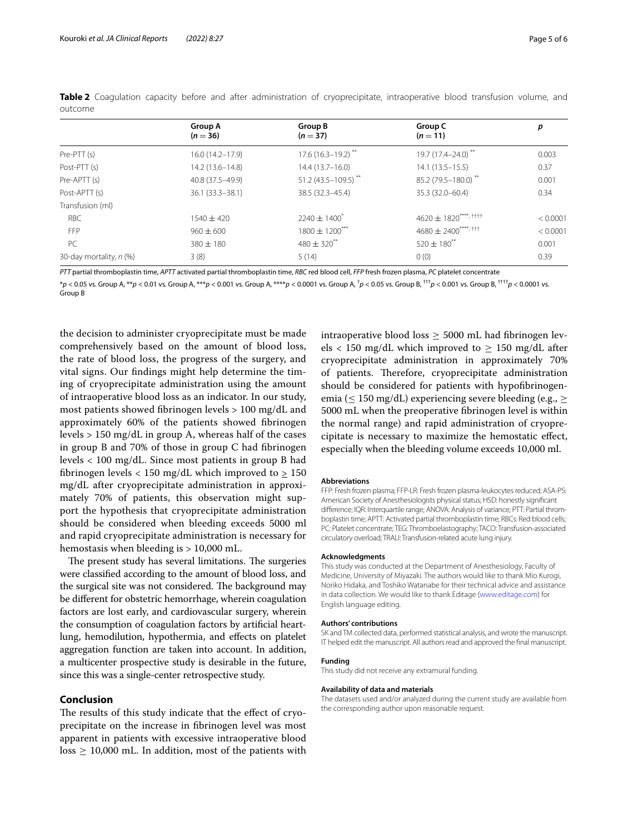|                         | <b>Group A</b><br>$(n = 36)$ | Group B<br>$(n=37)$                | Group C<br>$(n = 11)$                             | p        |
|-------------------------|------------------------------|------------------------------------|---------------------------------------------------|----------|
| Pre-PTT (s)             | 16.0 (14.2-17.9)             | $17.6(16.3 - 19.2)^{**}$           | 19.7 (17.4-24.0) <sup>*</sup>                     | 0.003    |
| Post-PTT (s)            | 14.2 (13.6-14.8)             | $14.4(13.7-16.0)$                  | $14.1(13.5 - 15.5)$                               | 0.37     |
| Pre-APTT (s)            | 40.8 (37.5-49.9)             | $51.2(43.5 - 109.5)$ <sup>**</sup> | 85.2 (79.5-180.0)**                               | 0.001    |
| Post-APTT (s)           | 36.1 (33.3 - 38.1)           | 38.5 (32.3-45.4)                   | 35.3 (32.0-60.4)                                  | 0.34     |
| Transfusion (ml)        |                              |                                    |                                                   |          |
| <b>RBC</b>              | $1540 \pm 420$               | $2240 \pm 1400^*$                  | $4620 \pm 1820$ <sup>****</sup> , <sup>††††</sup> | < 0.0001 |
| <b>FFP</b>              | $960 \pm 600$                | $1800 \pm 1200$ ***                | $4680 \pm 2400$ <sup>****</sup> ', <sup>†††</sup> | < 0.0001 |
| PC                      | $380 + 180$                  | $480 \pm 320$ <sup>**</sup>        | $520 \pm 180^{**}$                                | 0.001    |
| 30-day mortality, n (%) | 3(8)                         | 5(14)                              | 0(0)                                              | 0.39     |

<span id="page-4-0"></span>**Table 2** Coagulation capacity before and after administration of cryoprecipitate, intraoperative blood transfusion volume, and outcome

*PTT* partial thromboplastin time, *APTT* activated partial thromboplastin time, *RBC* red blood cell, *FFP* fresh frozen plasma, *PC* platelet concentrate

\**p* < 0.05 vs. Group A, \*\**p* < 0.01 vs. Group A, \*\*\**p* < 0.001 vs. Group A, \*\*\*\**p* < 0.0001 vs. Group A, † *p* < 0.05 vs. Group B, †††*p* < 0.001 vs. Group B, ††††*p* < 0.0001 vs. Group B

the decision to administer cryoprecipitate must be made comprehensively based on the amount of blood loss, the rate of blood loss, the progress of the surgery, and vital signs. Our fndings might help determine the timing of cryoprecipitate administration using the amount of intraoperative blood loss as an indicator. In our study, most patients showed fbrinogen levels > 100 mg/dL and approximately 60% of the patients showed fbrinogen levels > 150 mg/dL in group A, whereas half of the cases in group B and 70% of those in group C had fbrinogen levels < 100 mg/dL. Since most patients in group B had fibrinogen levels < 150 mg/dL which improved to  $\geq 150$ mg/dL after cryoprecipitate administration in approximately 70% of patients, this observation might support the hypothesis that cryoprecipitate administration should be considered when bleeding exceeds 5000 ml and rapid cryoprecipitate administration is necessary for hemostasis when bleeding is > 10,000 mL.

The present study has several limitations. The surgeries were classifed according to the amount of blood loss, and the surgical site was not considered. The background may be diferent for obstetric hemorrhage, wherein coagulation factors are lost early, and cardiovascular surgery, wherein the consumption of coagulation factors by artifcial heartlung, hemodilution, hypothermia, and efects on platelet aggregation function are taken into account. In addition, a multicenter prospective study is desirable in the future, since this was a single-center retrospective study.

# **Conclusion**

The results of this study indicate that the effect of cryoprecipitate on the increase in fbrinogen level was most apparent in patients with excessive intraoperative blood  $loss \geq 10,000$  mL. In addition, most of the patients with intraoperative blood  $loss > 5000$  mL had fibrinogen levels < 150 mg/dL which improved to  $\geq$  150 mg/dL after cryoprecipitate administration in approximately 70% of patients. Therefore, cryoprecipitate administration should be considered for patients with hypofbrinogenemia ( $\leq 150 \text{ mg/dL}$ ) experiencing severe bleeding (e.g.,  $\geq$ 5000 mL when the preoperative fbrinogen level is within the normal range) and rapid administration of cryoprecipitate is necessary to maximize the hemostatic efect, especially when the bleeding volume exceeds 10,000 ml.

#### **Abbreviations**

FFP: Fresh frozen plasma; FFP-LR: Fresh frozen plasma-leukocytes reduced; ASA-PS: American Society of Anesthesiologists physical status; HSD: honestly signifcant diference; IQR: Interquartile range; ANOVA: Analysis of variance; PTT: Partial thromboplastin time; APTT: Activated partial thromboplastin time; RBCs: Red blood cells; PC: Platelet concentrate; TEG: Thromboelastography; TACO: Transfusion-associated circulatory overload; TRALI: Transfusion-related acute lung injury.

#### **Acknowledgments**

This study was conducted at the Department of Anesthesiology, Faculty of Medicine, University of Miyazaki. The authors would like to thank Mio Kurogi, Noriko Hidaka, and Toshiko Watanabe for their technical advice and assistance in data collection. We would like to thank Editage [\(www.editage.com](http://www.editage.com)) for English language editing.

#### **Authors' contributions**

SK and TM collected data, performed statistical analysis, and wrote the manuscript. IT helped edit the manuscript. All authors read and approved the fnal manuscript.

#### **Funding**

This study did not receive any extramural funding.

#### **Availability of data and materials**

The datasets used and/or analyzed during the current study are available from the corresponding author upon reasonable request.